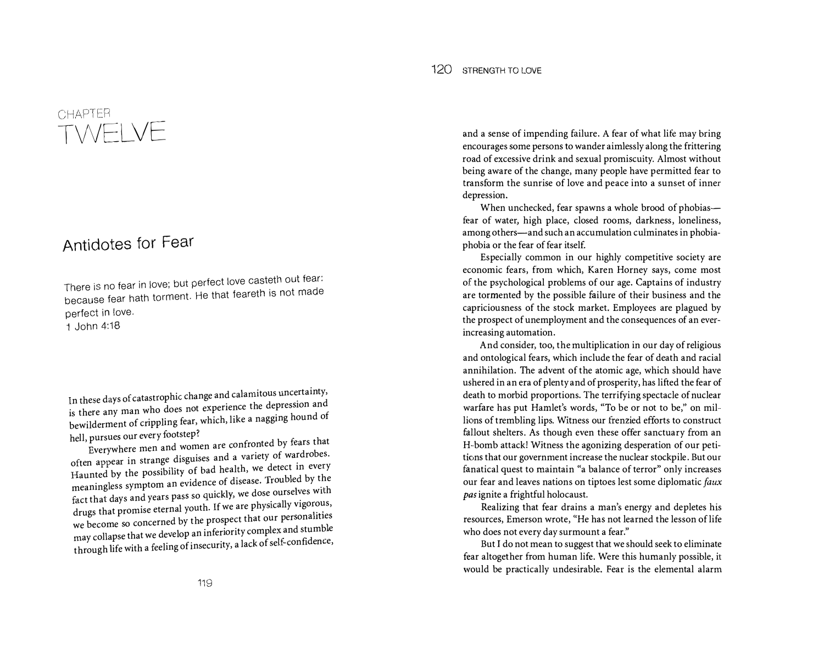#### 120 STRENGTH TO LOVE

### **CHAPTER** 1-WELVE

### **Antidotes for Fear**

There is no fear in love; but perfect love casteth out fear: because fear hath torment. He that feareth is not made perfect in love. 1 John 4:18

In these days of catastrophic change and calamitous uncertainty, is there any man who does not experience the depression an<sup>d</sup> bewilderment of crippling fear, which, like a nagging hound o<sup>f</sup> <sup>h</sup>ell, pursues our every footstep?

Everywhere men and women are confronted by fears tha<sup>t</sup> often appear in strange disguises and a variety of wardrobes. Haunted by the possibility of bad health, we detect in every meaningless symptom an evidence of disease. Troubled by the fact that days and years pass so quickly, we dose ourselves with drugs that promise eternal youth. If we are physically vigorous, <sup>w</sup>e become so concerned by the prospect that our personalities may collapse that we develop an inferiority complex and stumble through life with a feeling of insecurity, a lack of self-confidence, and a sense of impending failure. A fear of what life may bring encourages some persons to wander aimlessly along the frittering road of excessive drink and sexual promiscuity. Almost without being aware of the change, many people have permitted fear to transform the sunrise of love and peace into a sunset of inner depression.

When unchecked, fear spawns a whole brood of phobiasfear of water, high place, closed rooms, darkness, loneliness, among others—and such an accumulation culminates in phobiaphobia or the fear of fear itself.

Especially common in our highly competitive society are economic fears, from which, Karen Horney says, come most <sup>o</sup>f the psychological problems of our age. Captains of industry <sup>a</sup>re tormented by the possible failure of their business and th<sup>e</sup> capriciousness of the stock market. Employees are plagued by the prospect of unemployment and the consequences of an ever<sup>i</sup>ncreasing automation.

And consider, too, the multiplication in our day of religious and ontological fears, which include the fear of death and racial annihilation. The advent of the atomic age, which should hav<sup>e</sup> ushered in an era of plenty and of prosperity, has lifted the fear of death to morbid proportions. The terrifying spectacle of nuclear warfare has put Hamlet's words, "To be or not to be," on mil lions of trembling lips. Witness our frenzied efforts to construct fallout shelters. As though even these offer sanctuary from an H--bomb attack! Witness the agonizing desperation of our petitions that our government increase the nuclear stockpile. But our fanatical quest to maintain "a balance of terror" only increases <sup>o</sup>ur fear and leaves nations on tiptoes lest some diplomatic *faux pas* ignite a frightful holocaust.

Realizing that fear drains a man's energy and depletes his resources, Emerson wrote, "He has not learned the lesson of life who does not every day surmount a fear."

But I do not mean to suggest that we should seek to eliminate fear altogether from human life. Were this humanly possible, it would be practically undesirable. Fear is the elemental alarm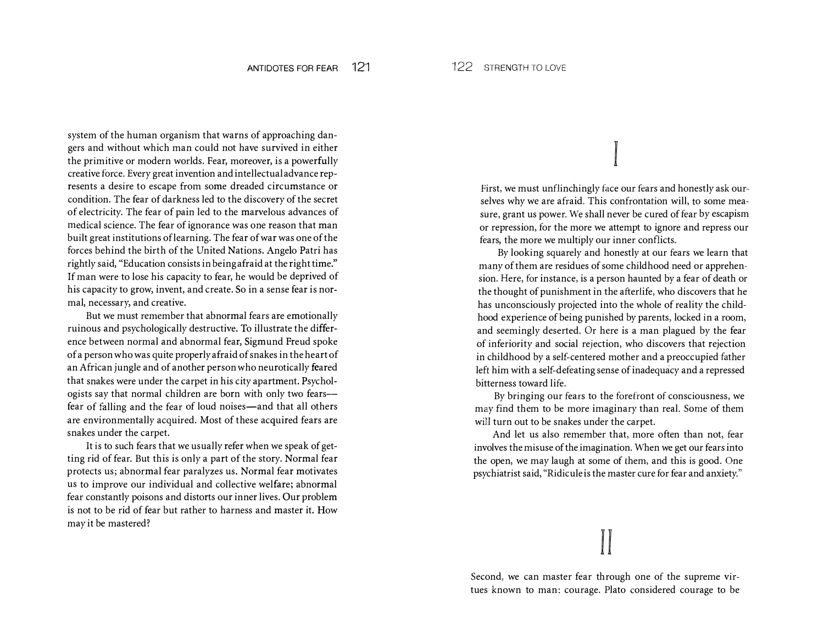system of the human organism that warns of approaching dangers and without which man could not have survived in either the primitive or modern worlds. Fear, moreover, is a powerfully creative force. Every great invention and intellectual advance represents a desire to escape from some dreaded circumstance or condition. The fear of darkness led to the discovery of the secret of electricity. The fear of pain led to the marvelous advances of medical science. The fear of ignorance was one reason that man built great institutions of learning. The fear of war was one of the forces behind the birth of the United Nations. Angelo Patri has <sup>r</sup>ightly said, "Education consists in being afraid at the right time." If man were to lose his capacity to fear, he would be deprived of his capacity to grow, invent, and create. So in a sense fear is normal, necessary, and creative.

But we must remember that abnormal fears are emotionally ruinous and psychologically destructive. To illustrate the difference between normal and abnormal fear, Sigmund Freud spoke of a person who was quite properly afraid of snakes in the heart of an African jungle and of another person who neurotically feared that snakes were under the carpet in his city apartment. Psychologists say that normal children are born with only two fears fear of falling and the fear of loud noises-and that all others are environmentally acquired. Most of these acquired fears are snakes under the carpet.

It is to such fears that we usually refer when we speak of getting rid of fear. But this is only a part of the story. Normal fear protects us; abnormal fear paralyzes us. Normal fear motivates us to improve our individual and collective welfare; abnormal fear constantly poisons and distorts our inner lives. Our problem is not to be rid of fear but rather to harness and master it. How may it be mastered?

First, we must unflinchingly face our fears and honestly ask ourselves why we are afraid. This confrontation will, to some measure, grant us power. We shall never be cured of fear by escapism or repression, for the more we attempt to ignore and repress our fears, the more we multiply our inner conflicts.

I

By looking squarely and honestly at our fears we learn that many of them are residues of some childhood need or apprehension. Here, for instance, is a person haunted by a fear of death or the thought of punishment in the afterlife, who discovers that he has unconsciously projected into the whole of reality the childhood experience of being punished by parents, locked in a room, and seemingly deserted. Or here is a man plagued by the fear of inferiority and social rejection, who discovers that rejection in childhood by a self-centered mother and a preoccupied father left him with a self-defeating sense of inadequacy and a repressed bitterness toward life.

By bringing our fears to the forefront of consciousness, we may find them to be more imaginary than real. Some of them will turn out to be snakes under the carpet.

And let us also remember that, more often than not, fear involves the misuse of the imagination. When we get our fears into the open, we may laugh at some of them, and this is good. One psychiatrist said, "Ridicule is the master cure for fear and anxiety."

# II

Second, we can master fear through one of the supreme virtues known to man: courage. Plato considered courage to be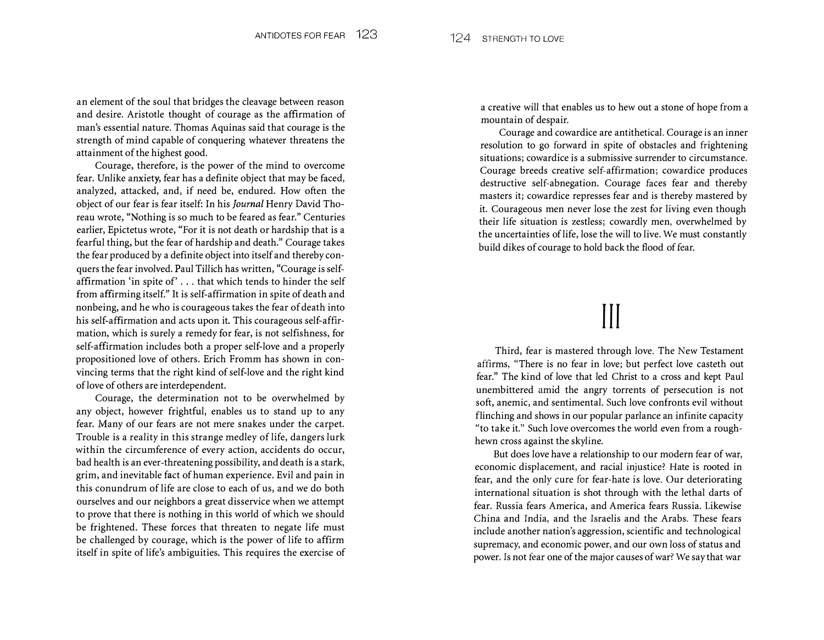an element of the soul that bridges the cleavage between reason and desire. Aristotle thought of courage as the affirmation of man's essential nature. Thomas Aquinas said that courage is the strength of mind capable of conquering whatever threatens the attainment of the highest good.

Courage, therefore, is the power of the mind to overcome fear. Unlike anxiety, fear has a definite object that may be faced, analyzed, attacked, and, if need be, endured. How often the object of our fear is fear itself: In his *Journal* Henry David Thoreau wrote, "Nothing is so much to be feared as fear." Centuries earlier, Epictetus wrote, "For it is not death or hardship that is a fearful thing, but the fear of hardship and death." Courage takes the fear produced by a definite object into itself and thereby conquers the fear involved. Paul Tillich has written, "Courage is selfaffirmation 'in spite of' . . . that which tends to hinder the self from affirming itself." It is self-affirmation in spite of death and nonbeing, and he who is courageous takes the fear of death into his self-affirmation and acts upon it. This courageous self-affirmation, which is surely a remedy for fear, is not selfishness, for self-affirmation includes both a proper self-love and a properly propositioned love of others. Erich Fromm has shown in convincing terms that the right kind of self-love and the right kind of love of others are interdependent.

Courage, the determination not to be overwhelmed by any object, however frightful, enables us to stand up to any fear. Many of our fears are not mere snakes under the carpet. Trouble is a reality in this strange medley of life, dangers lurk within the circumference of every action, accidents do occur, bad health is an ever-threatening possibility, and death is a stark, grim, and inevitable fact of human experience. Evil and pain in this conundrum of life are close to each of us, and we do both ourselves and our neighbors a great disservice when we attempt to prove that there is nothing in this world of which we should be frightened. These forces that threaten to negate life must be challenged by courage, which is the power of life to affirm itself in spite of life's ambiguities. This requires the exercise of a creative will that enables us to hew out a stone of hope from a mountain of despair.

Courage and cowardice are antithetical. Courage is an inner resolution to go forward in spite of obstacles and frightening situations; cowardice is a submissive surrender to circumstance. Courage breeds creative self-affirmation; cowardice produces destructive self-abnegation. Courage faces fear and thereby masters it; cowardice represses fear and is thereby mastered by it. Courageous men never lose the zest for living even though their life situation is zestless; cowardly men, overwhelmed by the uncertainties of life, lose the will to live. We must constantly build dikes of courage to hold back the flood of fear.

### $\prod$

Third, fear is mastered through love. The New Testament affirms, "There is no fear in love; but perfect love casteth out fear." The kind of love that led Christ to a cross and kept Paul unembittered amid the angry torrents of persecution is not soft, anemic, and sentimental. Such love confronts evil without flinching and shows in our popular parlance an infinite capacity "to take it." Such love overcomes the world even from a roughhewn cross against the skyline.

But does love have a relationship to our modern fear of war, economic displacement, and racial injustice? Hate is rooted in fear, and the only cure for fear-hate is love. Our deteriorating international situation is shot through with the lethal darts of fear. Russia fears America, and America fears Russia. Likewise China and India, and the Israelis and the Arabs. These fears include another nation's aggression, scientific and technological supremacy, and economic power, and our own loss of status and power. Is not fear one of the major causes of war? We say that war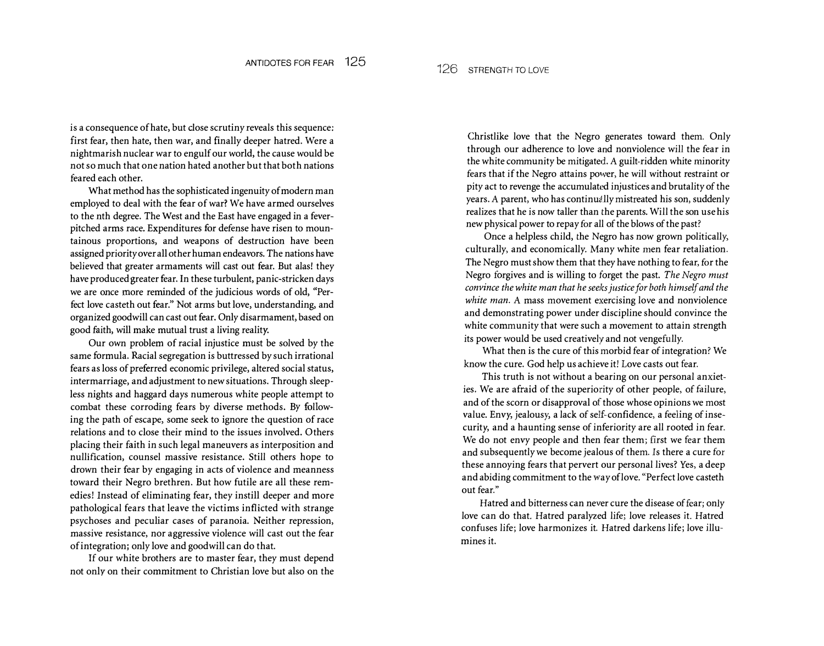is a consequence of hate, but dose scrutiny reveals this sequence: first fear, then hate, then war, and finally deeper hatred. Were a nightmarish nuclear war to engulf our world, the cause would be not so much that one nation hated another but that both nations feared each other.

What method has the sophisticated ingenuity of modern man employed to deal with the fear of war? We have armed ourselves to the nth degree. The West and the East have engaged in a feverpitched arms race. Expenditures for defense have risen to mountainous proportions, and weapons of destruction have been assigned priority over all other human endeavors. The nations have believed that greater armaments will cast out fear. But alas! they have produced greater fear. In these turbulent, panic-stricken days we are once more reminded of the judicious words of old, "Perfect love casteth out fear." Not arms but love, understanding, and organized goodwill can cast out fear. Only disarmament, based on good faith, will make mutual trust a living reality.

Our own problem of racial injustice must be solved by the same formula. Racial segregation is buttressed by such irrational fears as loss of preferred economic privilege, altered social status, intermarriage, and adjustment to new situations. Through sleepless nights and haggard days numerous white people attempt to combat these corroding fears by diverse methods. By following the path of escape, some seek to ignore the question of race relations and to close their mind to the issues involved. Others placing their faith in such legal maneuvers as interposition and nullification, counsel massive resistance. Still others hope to drown their fear by engaging in acts of violence and meanness toward their Negro brethren. But how futile are all these remedies! Instead of eliminating fear, they instill deeper and more pathological fears that leave the victims inflicted with strange psychoses and peculiar cases of paranoia. Neither repression, massive resistance, nor aggressive violence will cast out the fear of integration; only love and goodwill can do that.

If our white brothers are to master fear, they must depend not only on their commitment to Christian love but also on the

Christlike love that the Negro generates toward them. Only through our adherence to love and nonviolence will the fear in the white community be mitigated. A guilt-ridden white minority fears that if the Negro attains power, he will without restraint or <sup>p</sup>ity act to revenge the accumulated injustices and brutality of the years. A parent, who has continually mistreated his son, suddenly realizes that he is now taller than the parents. Will the son use his new physical power to repay for all of the blows of the past?

Once a helpless child, the Negro has now grown politically, culturally, and economically. Many white men fear retaliation. The Negro must show them that they have nothing to fear, for the Negro forgives and is willing to forget the past. *The Negro must convince the white man that he seeks justice for both himself and the white man.* A mass movement exercising love and nonviolence and demonstrating power under discipline should convince the white community that were such a movement to attain strength its power would be used creatively and not vengefully.

What then is the cure of this morbid fear of integration? We know the cure. God help us achieve it! Love casts out fear.

This truth is not without a bearing on our personal anxieties. We are afraid of the superiority of other people, of failure, and of the scorn or disapproval of those whose opinions we most value. Envy, jealousy, a lack of self-confidence, a feeling of insecurity, and a haunting sense of inferiority are all rooted in fear. We do not envy people and then fear them; first we fear them and subsequently we become jealous of them. Is there a cure for these annoying fears that pervert our personal lives? Yes, a deep and abiding commitment to the way of love. "Perfect love casteth out fear."

Hatred and bitterness can never cure the disease of fear; only love can do that. Hatred paralyzed life; love releases it. Hatred confuses life; love harmonizes it. Hatred darkens life; love illumines it.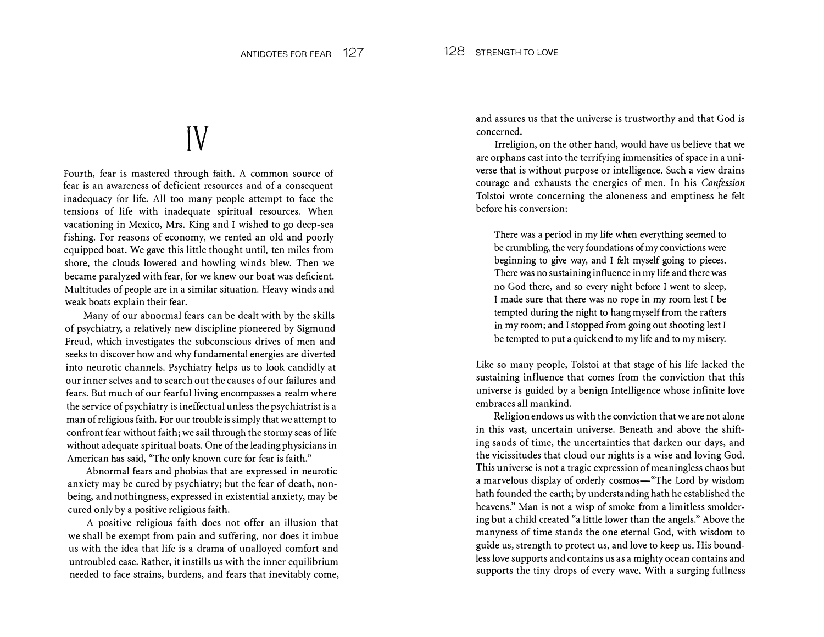## IV

Fourth, fear is mastered through faith. A common source of fear is an awareness of deficient resources and of a consequent inadequacy for life. All too many people attempt to face the tensions of life with inadequate spiritual resources. When vacationing in Mexico, Mrs. King and I wished to go deep-sea fishing. For reasons of economy, we rented an old and poorly equipped boat. We gave this little thought until, ten miles from shore, the clouds lowered and howling winds blew. Then we became paralyzed with fear, for we knew our boat was deficient. Multitudes of people are in a similar situation. Heavy winds and weak boats explain their fear.

Many of our abnormal fears can be dealt with by the skills of psychiatry, a relatively new discipline pioneered by Sigmund Freud, which investigates the subconscious drives of men and seeks to discover how and why fundamental energies are diverted into neurotic channels. Psychiatry helps us to look candidly at our inner selves and to search out the causes of our failures and fears. But much of our fearful living encompasses a realm where the service of psychiatry is ineffectual unless the psychiatrist is a man of religious faith. For our trouble is simply that we attempt to confront fear without faith; we sail through the stormy seas of life without adequate spiritual boats. One of the leading physicians in American has said, "The only known cure for fear is faith."

Abnormal fears and phobias that are expressed in neurotic anxiety may be cured by psychiatry; but the fear of death, nonbeing, and nothingness, expressed in existential anxiety, may be cured only by a positive religious faith.

A positive religious faith does not offer an illusion that we shall be exempt from pain and suffering, nor does it imbue us with the idea that life is a drama of unalloyed comfort and untroubled ease. Rather, it instills us with the inner equilibrium needed to face strains, burdens, and fears that inevitably come, and assures us that the universe is trustworthy and that God is concerned.

Irreligion, on the other hand, would have us believe that we are orphans cast into the terrifying immensities of space in a universe that is without purpose or intelligence. Such a view drains courage and exhausts the energies of men. In his *Confession*  Tolstoi wrote concerning the aloneness and emptiness he felt before his conversion:

There was a period in my life when everything seemed to be crumbling, the very foundations of my convictions were beginning to give way, and I felt myself going to pieces. There was no sustaining influence in my life and there was no God there, and so every night before I went to sleep, I made sure that there was no rope in my room lest I be tempted during the night to hang myself from the rafters in my room; and I stopped from going out shooting lest I be tempted to put a quick end to my life and to my misery.

Like so many people, Tolstoi at that stage of his life lacked the sustaining influence that comes from the conviction that this universe is guided by a benign Intelligence whose infinite love embraces all mankind.

Religion endows us with the conviction that we are not alone in this vast, uncertain universe. Beneath and above the shifting sands of time, the uncertainties that darken our days, and the vicissitudes that cloud our nights is a wise and loving God. This universe is not a tragic expression of meaningless chaos but a marvelous display of orderly cosmos-"The Lord by wisdom hath founded the earth; by understanding hath he established the heavens." Man is not a wisp of smoke from a limitless smoldering but a child created "a little lower than the angels." Above the manyness of time stands the one eternal God, with wisdom to guide us, strength to protect us, and love to keep us. His boundless love supports and contains us as a mighty ocean contains and supports the tiny drops of every wave. With a surging fullness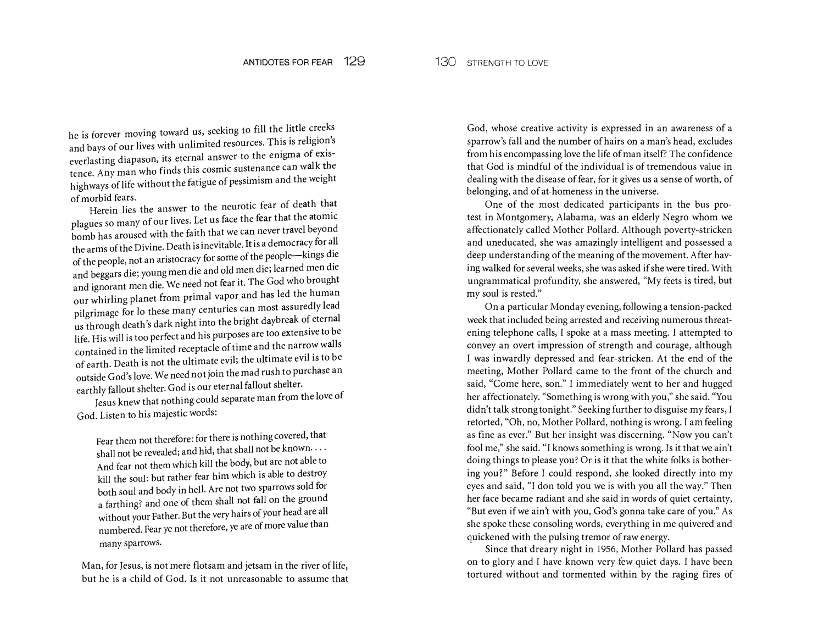he is forever moving toward us, seeking to fill the little creeks and bays of our lives with unlimited resources. This is religion's everlasting diapason, its eternal answer to the enigma of existence. Any man who finds this cosmic sustenance can walk the highways of life without the fatigue of pessimism and the weight of morbid fears.

Herein lies the answer to the neurotic fear of death that plagues so many of our lives. Let us face the fear that the atomic bomb has aroused with the faith that we can never travel beyond the arms of the Divine. Death is inevitable. It is a democracy for all of the people, not an aristocracy for some of the people-kings die and beggars die; young men die and old men die; learned men die and ignorant men die. We need not fear it. The God who brought our whirling planet from primal vapor and has led the human pilgrimage for lo these many centuries can most assuredly lea<sup>d</sup> us through death's dark night into the bright daybreak of eterna<sup>l</sup> life. His will is too perfect and his purposes are too extensive to be contained in the limited receptacle of time and the narrow walls of earth. Death is not the ultimate evil; the ultimate evil is to be outside God's love. We need not join the mad rush to purchase an earthly fallout shelter. God is our eternal fallout shelter.

Jesus knew that nothing could separate man from the love of God. Listen to his majestic words:

Fear them not therefore: for there is nothing covered, tha<sup>t</sup> shall not be revealed; and hid, that shall not be known.... And fear not them which kill the body, but are not able to kill the soul: but rather fear him which is able to destroy both soul and body in hell. Are not two sparrows sold for a farthing? and one of them shall not fall on the ground without your Father. But the very hairs of your head are all numbered. Fear ye not therefore, ye are of more value than many sparrows.

Man, for Jesus, is not mere flotsam and jetsam in the river of life, but he is a child of God. ls it not unreasonable to assume that

God, whose creative activity is expressed in an awareness of a sparrow's fall and the number of hairs on a man's head, excludes from his encompassing love the life of man itself? The confidence that God is mindful of the individual is of tremendous value in dealing with the disease of fear, for *it* gives us a sense of worth, of belonging, and of at-homeness in the universe.

One of the most dedicated participants in the bus protest in Montgomery, Alabama, was an elderly Negro whom we affectionately called Mother Pollard. Although poverty-stricken and uneducated, she was amazingly intelligent and possessed a deep understanding of the meaning of the movement. After having walked for several weeks, she was asked if she were tired. With ungrammatical profundity, she answered, "My feets is tired, but <sup>m</sup>y soul is rested."

On a particular Monday evening, following a tension-packed week that included being arrested and receiving numerous threatening telephone ca1ls, I spoke at a mass meeting. I attempted to convey an overt impression of strength and courage, although I was inwardly depressed and fear-stricken. At the end of the meeting, Mother Pollard came to the front of the church and said, "Come here, son." I immediately went to her and hugged her affectionately. "Something is wrong with you," she said. "You didn't talk strong tonight." Seeking further to disguise my fears, I retorted, "Oh, no, Mother Pollard, nothing is wrong. I am feeling as fine as ever." But her insight was discerning. "Now you can't fool me," she said. "I knows something is wrong. Is it that we ain't doing things to please you? Or is it that the white folks is bothering you?" Before I could respond, she looked directly into my eyes and said, "I don told you we is with you all the way." Then her face became radiant and she said in words of quiet certainty, "But even if we ain't with you, God's gonna take care of you." As she spoke these consoling words, everything in me quivered and quickened with the pulsing tremor of raw energy.

Since that dreary night in 1956, Mother Pollard has passed on to glory and I have known very few quiet days. I have been tortured without and tormented within by the raging fires of